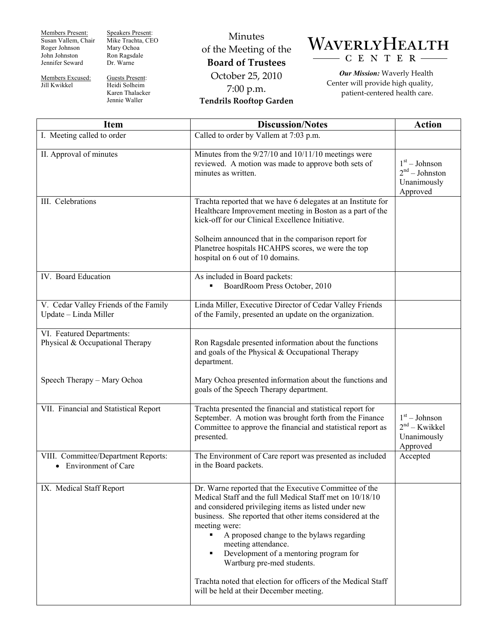Members Present: Susan Vallem, Chair Roger Johnson John Johnston Jennifer Seward

Jill Kwikkel

Speakers Present: Mike Trachta, CEO Mary Ochoa Ron Ragsdale Dr. Warne

Members Excused: Guests Present: Heidi Solheim Karen Thalacker Jennie Waller

Minutes of the Meeting of the **Board of Trustees**  October 25, 2010 7:00 p.m. **Tendrils Rooftop Garden** 



*Our Mission:* Waverly Health Center will provide high quality, patient-centered health care.

| <b>Item</b>                                                                    | <b>Discussion/Notes</b>                                                                                                                                                                                                                                                                                                                                                                                                                                                                                          | <b>Action</b>                                                  |
|--------------------------------------------------------------------------------|------------------------------------------------------------------------------------------------------------------------------------------------------------------------------------------------------------------------------------------------------------------------------------------------------------------------------------------------------------------------------------------------------------------------------------------------------------------------------------------------------------------|----------------------------------------------------------------|
| I. Meeting called to order                                                     | Called to order by Vallem at 7:03 p.m.                                                                                                                                                                                                                                                                                                                                                                                                                                                                           |                                                                |
| II. Approval of minutes                                                        | Minutes from the $9/27/10$ and $10/11/10$ meetings were<br>reviewed. A motion was made to approve both sets of<br>minutes as written.                                                                                                                                                                                                                                                                                                                                                                            | $1st - Johnson$<br>$2nd - Johnston$<br>Unanimously<br>Approved |
| III. Celebrations                                                              | Trachta reported that we have 6 delegates at an Institute for<br>Healthcare Improvement meeting in Boston as a part of the<br>kick-off for our Clinical Excellence Initiative.<br>Solheim announced that in the comparison report for<br>Planetree hospitals HCAHPS scores, we were the top<br>hospital on 6 out of 10 domains.                                                                                                                                                                                  |                                                                |
| IV. Board Education                                                            | As included in Board packets:<br>BoardRoom Press October, 2010                                                                                                                                                                                                                                                                                                                                                                                                                                                   |                                                                |
| V. Cedar Valley Friends of the Family<br>Update - Linda Miller                 | Linda Miller, Executive Director of Cedar Valley Friends<br>of the Family, presented an update on the organization.                                                                                                                                                                                                                                                                                                                                                                                              |                                                                |
| VI. Featured Departments:<br>Physical & Occupational Therapy                   | Ron Ragsdale presented information about the functions<br>and goals of the Physical & Occupational Therapy<br>department.                                                                                                                                                                                                                                                                                                                                                                                        |                                                                |
| Speech Therapy - Mary Ochoa                                                    | Mary Ochoa presented information about the functions and<br>goals of the Speech Therapy department.                                                                                                                                                                                                                                                                                                                                                                                                              |                                                                |
| VII. Financial and Statistical Report                                          | Trachta presented the financial and statistical report for<br>September. A motion was brought forth from the Finance<br>Committee to approve the financial and statistical report as<br>presented.                                                                                                                                                                                                                                                                                                               | $1st - Johnson$<br>$2nd - Kwikkel$<br>Unanimously<br>Approved  |
| VIII. Committee/Department Reports:<br><b>Environment of Care</b><br>$\bullet$ | The Environment of Care report was presented as included<br>in the Board packets.                                                                                                                                                                                                                                                                                                                                                                                                                                | Accepted                                                       |
| IX. Medical Staff Report                                                       | Dr. Warne reported that the Executive Committee of the<br>Medical Staff and the full Medical Staff met on 10/18/10<br>and considered privileging items as listed under new<br>business. She reported that other items considered at the<br>meeting were:<br>A proposed change to the bylaws regarding<br>meeting attendance.<br>Development of a mentoring program for<br>Wartburg pre-med students.<br>Trachta noted that election for officers of the Medical Staff<br>will be held at their December meeting. |                                                                |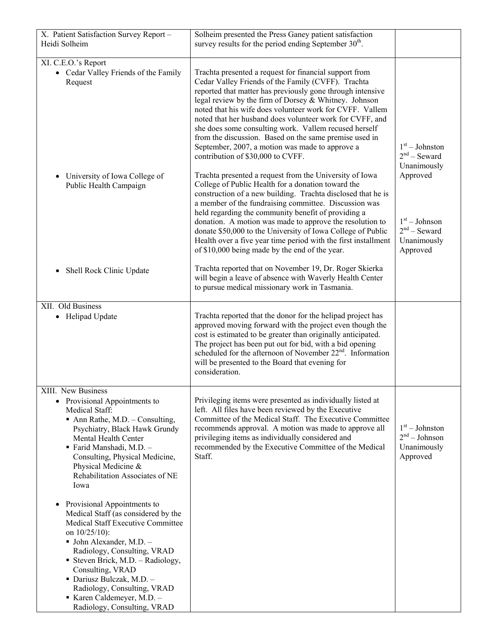| X. Patient Satisfaction Survey Report -<br>Heidi Solheim                                                                                                                                                                                                                                                                                                                                        | Solheim presented the Press Ganey patient satisfaction<br>survey results for the period ending September $30th$ .                                                                                                                                                                                                                                                                                                                                                                                                                                                      |                                                                          |
|-------------------------------------------------------------------------------------------------------------------------------------------------------------------------------------------------------------------------------------------------------------------------------------------------------------------------------------------------------------------------------------------------|------------------------------------------------------------------------------------------------------------------------------------------------------------------------------------------------------------------------------------------------------------------------------------------------------------------------------------------------------------------------------------------------------------------------------------------------------------------------------------------------------------------------------------------------------------------------|--------------------------------------------------------------------------|
| XI. C.E.O.'s Report                                                                                                                                                                                                                                                                                                                                                                             |                                                                                                                                                                                                                                                                                                                                                                                                                                                                                                                                                                        |                                                                          |
| • Cedar Valley Friends of the Family<br>Request                                                                                                                                                                                                                                                                                                                                                 | Trachta presented a request for financial support from<br>Cedar Valley Friends of the Family (CVFF). Trachta<br>reported that matter has previously gone through intensive<br>legal review by the firm of Dorsey & Whitney. Johnson<br>noted that his wife does volunteer work for CVFF. Vallem<br>noted that her husband does volunteer work for CVFF, and<br>she does some consulting work. Vallem recused herself<br>from the discussion. Based on the same premise used in<br>September, 2007, a motion was made to approve a<br>contribution of \$30,000 to CVFF. | $1st - Johnston$<br>$2nd$ – Seward<br>Unanimously                        |
| University of Iowa College of<br>Public Health Campaign                                                                                                                                                                                                                                                                                                                                         | Trachta presented a request from the University of Iowa<br>College of Public Health for a donation toward the<br>construction of a new building. Trachta disclosed that he is<br>a member of the fundraising committee. Discussion was<br>held regarding the community benefit of providing a<br>donation. A motion was made to approve the resolution to<br>donate \$50,000 to the University of Iowa College of Public<br>Health over a five year time period with the first installment<br>of \$10,000 being made by the end of the year.                           | Approved<br>$1st - Johnson$<br>$2nd$ – Seward<br>Unanimously<br>Approved |
| Shell Rock Clinic Update<br>٠                                                                                                                                                                                                                                                                                                                                                                   | Trachta reported that on November 19, Dr. Roger Skierka<br>will begin a leave of absence with Waverly Health Center<br>to pursue medical missionary work in Tasmania.                                                                                                                                                                                                                                                                                                                                                                                                  |                                                                          |
| XII. Old Business<br>• Helipad Update                                                                                                                                                                                                                                                                                                                                                           | Trachta reported that the donor for the helipad project has<br>approved moving forward with the project even though the<br>cost is estimated to be greater than originally anticipated.<br>The project has been put out for bid, with a bid opening<br>scheduled for the afternoon of November 22 <sup>nd</sup> . Information<br>will be presented to the Board that evening for<br>consideration.                                                                                                                                                                     |                                                                          |
| XIII. New Business<br>Provisional Appointments to<br>Medical Staff:<br>$\blacksquare$ Ann Rathe, M.D. - Consulting,<br>Psychiatry, Black Hawk Grundy<br>Mental Health Center<br>■ Farid Manshadi, M.D. -<br>Consulting, Physical Medicine,<br>Physical Medicine &<br>Rehabilitation Associates of NE<br>Iowa<br>Provisional Appointments to<br>$\bullet$<br>Medical Staff (as considered by the | Privileging items were presented as individually listed at<br>left. All files have been reviewed by the Executive<br>Committee of the Medical Staff. The Executive Committee<br>recommends approval. A motion was made to approve all<br>privileging items as individually considered and<br>recommended by the Executive Committee of the Medical<br>Staff.                                                                                                                                                                                                           | $1st - Johnston$<br>$2nd - Johnson$<br>Unanimously<br>Approved           |
| Medical Staff Executive Committee<br>on $10/25/10$ :<br>• John Alexander, M.D. -<br>Radiology, Consulting, VRAD<br><b>Steven Brick, M.D. - Radiology,</b><br>Consulting, VRAD<br>• Dariusz Bulczak, M.D. -<br>Radiology, Consulting, VRAD<br>$\blacksquare$ Karen Caldemeyer, M.D. -<br>Radiology, Consulting, VRAD                                                                             |                                                                                                                                                                                                                                                                                                                                                                                                                                                                                                                                                                        |                                                                          |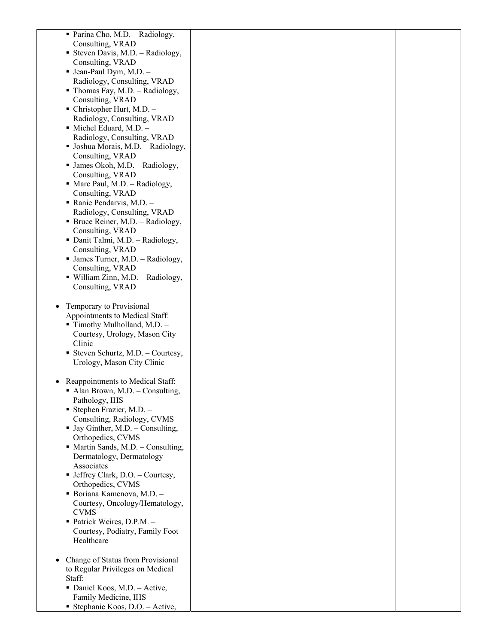| • Parina Cho, M.D. – Radiology,                        |  |
|--------------------------------------------------------|--|
| Consulting, VRAD                                       |  |
| <b>Steven Davis, M.D. - Radiology,</b>                 |  |
| Consulting, VRAD                                       |  |
| $\blacksquare$ Jean-Paul Dym, M.D. -                   |  |
| Radiology, Consulting, VRAD                            |  |
| $\blacksquare$ Thomas Fay, M.D. - Radiology,           |  |
| Consulting, VRAD                                       |  |
| $\blacksquare$ Christopher Hurt, M.D. –                |  |
| Radiology, Consulting, VRAD                            |  |
| $\blacksquare$ Michel Eduard, M.D. $-$                 |  |
| Radiology, Consulting, VRAD                            |  |
|                                                        |  |
| • Joshua Morais, M.D. - Radiology,<br>Consulting, VRAD |  |
| $\blacksquare$ James Okoh, M.D. – Radiology,           |  |
| Consulting, VRAD                                       |  |
| • Marc Paul, M.D. - Radiology,                         |  |
| Consulting, VRAD                                       |  |
| Ranie Pendarvis, M.D. $-$                              |  |
| Radiology, Consulting, VRAD                            |  |
| • Bruce Reiner, M.D. – Radiology,                      |  |
| Consulting, VRAD                                       |  |
| • Danit Talmi, M.D. - Radiology,                       |  |
| Consulting, VRAD                                       |  |
| $\blacksquare$ James Turner, M.D. - Radiology,         |  |
| Consulting, VRAD                                       |  |
| • William Zinn, M.D. - Radiology,                      |  |
| Consulting, VRAD                                       |  |
|                                                        |  |
| Temporary to Provisional<br>$\bullet$                  |  |
| Appointments to Medical Staff:                         |  |
| $\blacksquare$ Timothy Mulholland, M.D. $\blacksquare$ |  |
| Courtesy, Urology, Mason City                          |  |
| Clinic                                                 |  |
| ■ Steven Schurtz, M.D. $-$ Courtesy,                   |  |
| Urology, Mason City Clinic                             |  |
|                                                        |  |
| Reappointments to Medical Staff:<br>$\bullet$          |  |
| Alan Brown, M.D. - Consulting,                         |  |
| Pathology, IHS                                         |  |
| $\blacksquare$ Stephen Frazier, M.D. -                 |  |
| Consulting, Radiology, CVMS                            |  |
| • Jay Ginther, M.D. - Consulting,                      |  |
| Orthopedics, CVMS                                      |  |
| $\blacksquare$ Martin Sands, M.D. - Consulting,        |  |
| Dermatology, Dermatology                               |  |
| Associates                                             |  |
| $\blacksquare$ Jeffrey Clark, D.O. - Courtesy,         |  |
| Orthopedics, CVMS                                      |  |
| · Boriana Kamenova, M.D. -                             |  |
| Courtesy, Oncology/Hematology,                         |  |
| <b>CVMS</b>                                            |  |
| • Patrick Weires, D.P.M. -                             |  |
| Courtesy, Podiatry, Family Foot<br>Healthcare          |  |
|                                                        |  |
| Change of Status from Provisional                      |  |
| to Regular Privileges on Medical                       |  |
| Staff:                                                 |  |
| • Daniel Koos, M.D. - Active,                          |  |
| Family Medicine, IHS                                   |  |
| Stephanie Koos, D.O. - Active,                         |  |
|                                                        |  |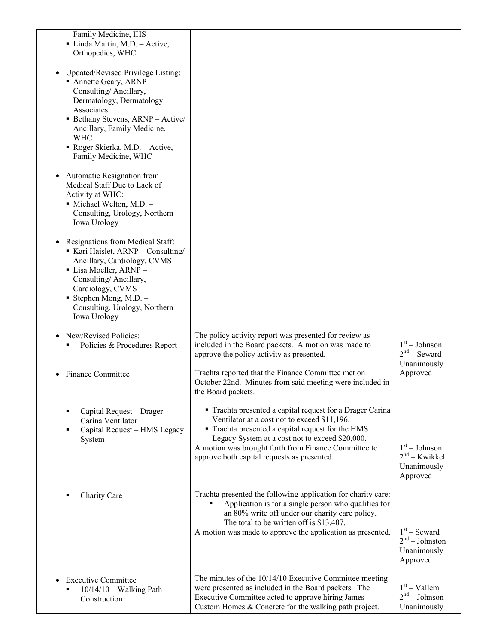| Family Medicine, IHS<br>• Linda Martin, M.D. - Active,<br>Orthopedics, WHC                                                                                                                                                                                                               |                                                                                                                                                                                                                                                                                                                          |                                                               |
|------------------------------------------------------------------------------------------------------------------------------------------------------------------------------------------------------------------------------------------------------------------------------------------|--------------------------------------------------------------------------------------------------------------------------------------------------------------------------------------------------------------------------------------------------------------------------------------------------------------------------|---------------------------------------------------------------|
| Updated/Revised Privilege Listing:<br>$\blacksquare$ Annette Geary, ARNP -<br>Consulting/Ancillary,<br>Dermatology, Dermatology<br>Associates<br>Bethany Stevens, ARNP - Active/<br>Ancillary, Family Medicine,<br><b>WHC</b><br>• Roger Skierka, M.D. - Active,<br>Family Medicine, WHC |                                                                                                                                                                                                                                                                                                                          |                                                               |
| Automatic Resignation from<br>Medical Staff Due to Lack of<br>Activity at WHC:<br>$\blacksquare$ Michael Welton, M.D. -<br>Consulting, Urology, Northern<br>Iowa Urology                                                                                                                 |                                                                                                                                                                                                                                                                                                                          |                                                               |
| Resignations from Medical Staff:<br>Kari Haislet, ARNP - Consulting/<br>Ancillary, Cardiology, CVMS<br>• Lisa Moeller, ARNP -<br>Consulting/Ancillary,<br>Cardiology, CVMS<br>$\blacksquare$ Stephen Mong, M.D. -<br>Consulting, Urology, Northern<br>Iowa Urology                       |                                                                                                                                                                                                                                                                                                                          |                                                               |
| New/Revised Policies:<br>Policies & Procedures Report                                                                                                                                                                                                                                    | The policy activity report was presented for review as<br>included in the Board packets. A motion was made to<br>approve the policy activity as presented.                                                                                                                                                               | $1st - Johnson$<br>$2nd$ – Seward<br>Unanimously              |
| Finance Committee                                                                                                                                                                                                                                                                        | Trachta reported that the Finance Committee met on<br>October 22nd. Minutes from said meeting were included in<br>the Board packets.                                                                                                                                                                                     | Approved                                                      |
| Capital Request - Drager<br>Carina Ventilator<br>Capital Request - HMS Legacy<br>п<br>System                                                                                                                                                                                             | • Trachta presented a capital request for a Drager Carina<br>Ventilator at a cost not to exceed \$11,196.<br>• Trachta presented a capital request for the HMS<br>Legacy System at a cost not to exceed \$20,000.<br>A motion was brought forth from Finance Committee to<br>approve both capital requests as presented. | $1st - Johnson$<br>$2nd - Kwikkel$<br>Unanimously<br>Approved |
| Charity Care                                                                                                                                                                                                                                                                             | Trachta presented the following application for charity care:<br>Application is for a single person who qualifies for<br>an 80% write off under our charity care policy.<br>The total to be written off is \$13,407.<br>A motion was made to approve the application as presented.                                       | $1st$ – Seward<br>$2nd - Johnston$<br>Unanimously<br>Approved |
| <b>Executive Committee</b><br>$10/14/10$ – Walking Path<br>Construction                                                                                                                                                                                                                  | The minutes of the 10/14/10 Executive Committee meeting<br>were presented as included in the Board packets. The<br>Executive Committee acted to approve hiring James<br>Custom Homes & Concrete for the walking path project.                                                                                            | $1st -$ Vallem<br>$2nd - Johnson$<br>Unanimously              |